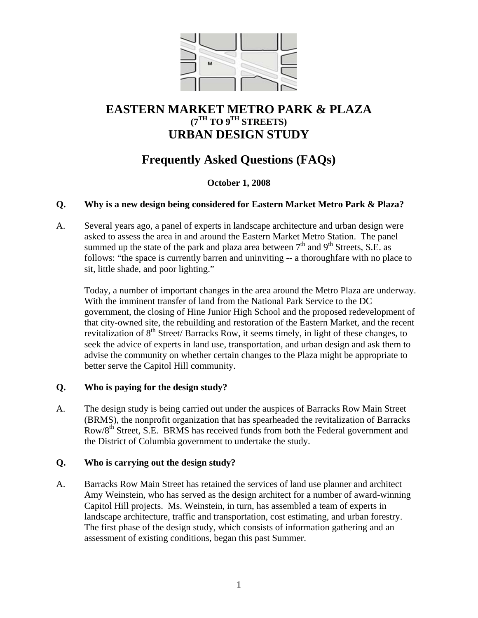

# **EASTERN MARKET METRO PARK & PLAZA (7TH TO 9TH STREETS) URBAN DESIGN STUDY**

# **Frequently Asked Questions (FAQs)**

#### **October 1, 2008**

#### **Q. Why is a new design being considered for Eastern Market Metro Park & Plaza?**

A. Several years ago, a panel of experts in landscape architecture and urban design were asked to assess the area in and around the Eastern Market Metro Station. The panel summed up the state of the park and plaza area between  $7<sup>th</sup>$  and  $9<sup>th</sup>$  Streets, S.E. as follows: "the space is currently barren and uninviting -- a thoroughfare with no place to sit, little shade, and poor lighting."

Today, a number of important changes in the area around the Metro Plaza are underway. With the imminent transfer of land from the National Park Service to the DC government, the closing of Hine Junior High School and the proposed redevelopment of that city-owned site, the rebuilding and restoration of the Eastern Market, and the recent revitalization of  $8<sup>th</sup>$  Street/Barracks Row, it seems timely, in light of these changes, to seek the advice of experts in land use, transportation, and urban design and ask them to advise the community on whether certain changes to the Plaza might be appropriate to better serve the Capitol Hill community.

#### **Q. Who is paying for the design study?**

A. The design study is being carried out under the auspices of Barracks Row Main Street (BRMS), the nonprofit organization that has spearheaded the revitalization of Barracks Row/8th Street, S.E. BRMS has received funds from both the Federal government and the District of Columbia government to undertake the study.

#### **Q. Who is carrying out the design study?**

A. Barracks Row Main Street has retained the services of land use planner and architect Amy Weinstein, who has served as the design architect for a number of award-winning Capitol Hill projects. Ms. Weinstein, in turn, has assembled a team of experts in landscape architecture, traffic and transportation, cost estimating, and urban forestry. The first phase of the design study, which consists of information gathering and an assessment of existing conditions, began this past Summer.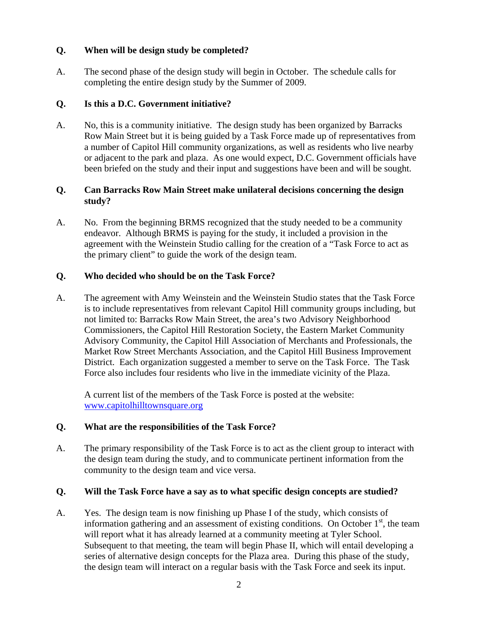#### **Q. When will be design study be completed?**

A. The second phase of the design study will begin in October. The schedule calls for completing the entire design study by the Summer of 2009.

### **Q. Is this a D.C. Government initiative?**

A. No, this is a community initiative. The design study has been organized by Barracks Row Main Street but it is being guided by a Task Force made up of representatives from a number of Capitol Hill community organizations, as well as residents who live nearby or adjacent to the park and plaza. As one would expect, D.C. Government officials have been briefed on the study and their input and suggestions have been and will be sought.

#### **Q. Can Barracks Row Main Street make unilateral decisions concerning the design study?**

A. No. From the beginning BRMS recognized that the study needed to be a community endeavor. Although BRMS is paying for the study, it included a provision in the agreement with the Weinstein Studio calling for the creation of a "Task Force to act as the primary client" to guide the work of the design team.

#### **Q. Who decided who should be on the Task Force?**

A. The agreement with Amy Weinstein and the Weinstein Studio states that the Task Force is to include representatives from relevant Capitol Hill community groups including, but not limited to: Barracks Row Main Street, the area's two Advisory Neighborhood Commissioners, the Capitol Hill Restoration Society, the Eastern Market Community Advisory Community, the Capitol Hill Association of Merchants and Professionals, the Market Row Street Merchants Association, and the Capitol Hill Business Improvement District. Each organization suggested a member to serve on the Task Force. The Task Force also includes four residents who live in the immediate vicinity of the Plaza.

A current list of the members of the Task Force is posted at the website: [www.capitolhilltownsquare.org](http://www.capitolhilltownsquare.org/)

## **Q. What are the responsibilities of the Task Force?**

A. The primary responsibility of the Task Force is to act as the client group to interact with the design team during the study, and to communicate pertinent information from the community to the design team and vice versa.

#### **Q. Will the Task Force have a say as to what specific design concepts are studied?**

A. Yes. The design team is now finishing up Phase I of the study, which consists of information gathering and an assessment of existing conditions. On October  $1<sup>st</sup>$ , the team will report what it has already learned at a community meeting at Tyler School. Subsequent to that meeting, the team will begin Phase II, which will entail developing a series of alternative design concepts for the Plaza area. During this phase of the study, the design team will interact on a regular basis with the Task Force and seek its input.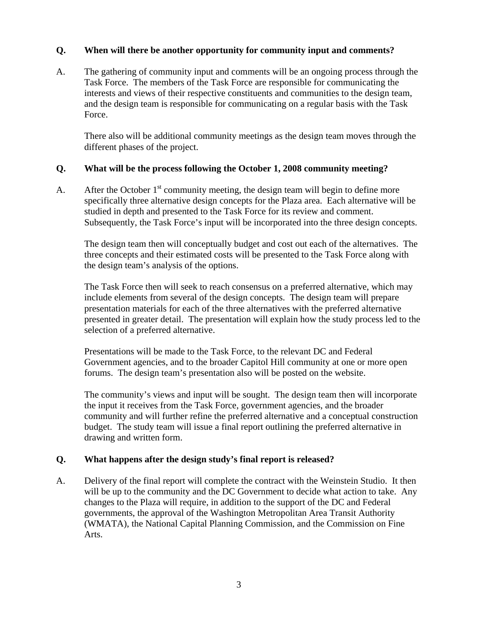#### **Q. When will there be another opportunity for community input and comments?**

A. The gathering of community input and comments will be an ongoing process through the Task Force. The members of the Task Force are responsible for communicating the interests and views of their respective constituents and communities to the design team, and the design team is responsible for communicating on a regular basis with the Task Force.

There also will be additional community meetings as the design team moves through the different phases of the project.

#### **Q. What will be the process following the October 1, 2008 community meeting?**

A. After the October  $1<sup>st</sup>$  community meeting, the design team will begin to define more specifically three alternative design concepts for the Plaza area. Each alternative will be studied in depth and presented to the Task Force for its review and comment. Subsequently, the Task Force's input will be incorporated into the three design concepts.

The design team then will conceptually budget and cost out each of the alternatives. The three concepts and their estimated costs will be presented to the Task Force along with the design team's analysis of the options.

The Task Force then will seek to reach consensus on a preferred alternative, which may include elements from several of the design concepts. The design team will prepare presentation materials for each of the three alternatives with the preferred alternative presented in greater detail. The presentation will explain how the study process led to the selection of a preferred alternative.

Presentations will be made to the Task Force, to the relevant DC and Federal Government agencies, and to the broader Capitol Hill community at one or more open forums. The design team's presentation also will be posted on the website.

The community's views and input will be sought. The design team then will incorporate the input it receives from the Task Force, government agencies, and the broader community and will further refine the preferred alternative and a conceptual construction budget. The study team will issue a final report outlining the preferred alternative in drawing and written form.

#### **Q. What happens after the design study's final report is released?**

A. Delivery of the final report will complete the contract with the Weinstein Studio. It then will be up to the community and the DC Government to decide what action to take. Any changes to the Plaza will require, in addition to the support of the DC and Federal governments, the approval of the Washington Metropolitan Area Transit Authority (WMATA), the National Capital Planning Commission, and the Commission on Fine Arts.